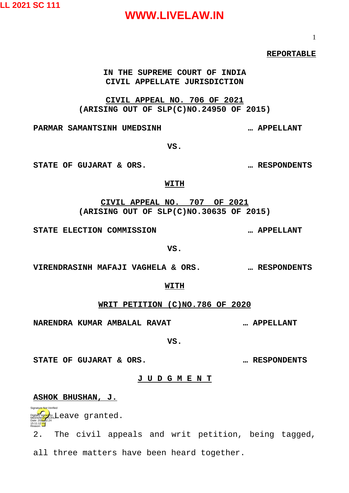**LL 2021 SC 111**

### **WWW.LIVELAW.IN**

#### **REPORTABLE**

#### **IN THE SUPREME COURT OF INDIA CIVIL APPELLATE JURISDICTION**

**CIVIL APPEAL NO. 706 OF 2021 (ARISING OUT OF SLP(C)NO.24950 OF 2015)**

**PARMAR SAMANTSINH UMEDSINH … APPELLANT**

**STATE OF GUJARAT & ORS. … RESPONDENTS**

#### **WITH**

**CIVIL APPEAL NO. 707 OF 2021 (ARISING OUT OF SLP(C)NO.30635 OF 2015)**

**STATE ELECTION COMMISSION … APPELLANT**

**VS.**

**VIRENDRASINH MAFAJI VAGHELA & ORS. … RESPONDENTS**

**WITH**

**WRIT PETITION (C)NO.786 OF 2020**

**NARENDRA KUMAR AMBALAL RAVAT … APPELLANT**

**VS.**

**STATE OF GUJARAT & ORS. … RESPONDENTS**

#### **J U D G M E N T**

**ASHOK BHUSHAN, J.**

**Digitally sign<mark>ed</mark> by Leave granted.** Date: 2024-02.24

15:11:12 IST Reason:

Signature Not Verified

2. The civil appeals and writ petition, being tagged, all three matters have been heard together.

1

**VS.**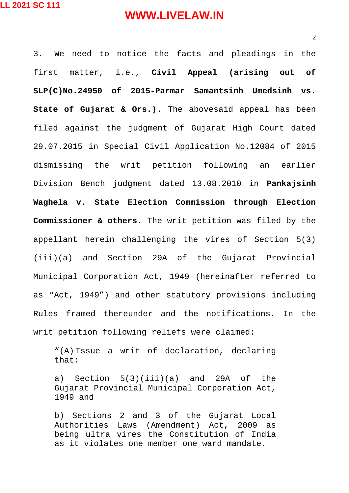2

3. We need to notice the facts and pleadings in the first matter, i.e., **Civil Appeal (arising out of SLP(C)No.24950 of 2015-Parmar Samantsinh Umedsinh vs. State of Gujarat & Ors.)**. The abovesaid appeal has been filed against the judgment of Gujarat High Court dated 29.07.2015 in Special Civil Application No.12084 of 2015 dismissing the writ petition following an earlier Division Bench judgment dated 13.08.2010 in **Pankajsinh Waghela v. State Election Commission through Election Commissioner & others.** The writ petition was filed by the appellant herein challenging the vires of Section 5(3) (iii)(a) and Section 29A of the Gujarat Provincial Municipal Corporation Act, 1949 (hereinafter referred to as "Act, 1949") and other statutory provisions including Rules framed thereunder and the notifications. In the writ petition following reliefs were claimed:

"(A) Issue a writ of declaration, declaring that:

a) Section 5(3)(iii)(a) and 29A of the Gujarat Provincial Municipal Corporation Act, 1949 and

b) Sections 2 and 3 of the Gujarat Local Authorities Laws (Amendment) Act, 2009 as being ultra vires the Constitution of India as it violates one member one ward mandate.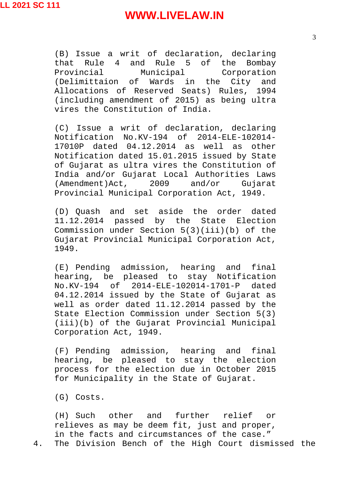(B) Issue a writ of declaration, declaring that Rule 4 and Rule 5 of the Bombay<br>Provincial Municipal Corporation Provincial Municipal Corporation (Delimittaion of Wards in the City and Allocations of Reserved Seats) Rules, 1994 (including amendment of 2015) as being ultra vires the Constitution of India.

(C) Issue a writ of declaration, declaring Notification No.KV-194 of 2014-ELE-102014- 17010P dated 04.12.2014 as well as other Notification dated 15.01.2015 issued by State of Gujarat as ultra vires the Constitution of India and/or Gujarat Local Authorities Laws (Amendment)Act, 2009 and/or Gujarat Provincial Municipal Corporation Act, 1949.

(D) Quash and set aside the order dated 11.12.2014 passed by the State Election Commission under Section 5(3)(iii)(b) of the Gujarat Provincial Municipal Corporation Act, 1949.

(E) Pending admission, hearing and final hearing, be pleased to stay Notification No.KV-194 of 2014-ELE-102014-1701-P dated 04.12.2014 issued by the State of Gujarat as well as order dated 11.12.2014 passed by the State Election Commission under Section 5(3) (iii)(b) of the Gujarat Provincial Municipal Corporation Act, 1949.

(F) Pending admission, hearing and final hearing, be pleased to stay the election process for the election due in October 2015 for Municipality in the State of Gujarat.

(G) Costs.

(H) Such other and further relief or relieves as may be deem fit, just and proper, in the facts and circumstances of the case." 4. The Division Bench of the High Court dismissed the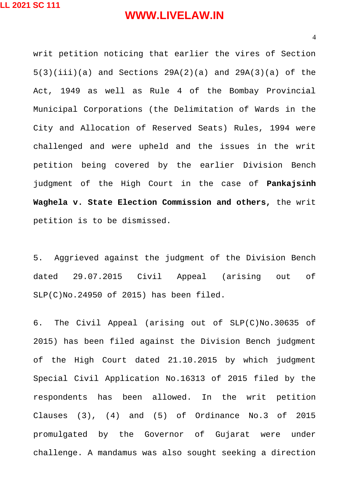writ petition noticing that earlier the vires of Section 5(3)(iii)(a) and Sections 29A(2)(a) and 29A(3)(a) of the Act, 1949 as well as Rule 4 of the Bombay Provincial Municipal Corporations (the Delimitation of Wards in the City and Allocation of Reserved Seats) Rules, 1994 were challenged and were upheld and the issues in the writ petition being covered by the earlier Division Bench judgment of the High Court in the case of **Pankajsinh Waghela v. State Election Commission and others,** the writ petition is to be dismissed.

5. Aggrieved against the judgment of the Division Bench dated 29.07.2015 Civil Appeal (arising out of SLP(C)No.24950 of 2015) has been filed.

6. The Civil Appeal (arising out of SLP(C)No.30635 of 2015) has been filed against the Division Bench judgment of the High Court dated 21.10.2015 by which judgment Special Civil Application No.16313 of 2015 filed by the respondents has been allowed. In the writ petition Clauses (3), (4) and (5) of Ordinance No.3 of 2015 promulgated by the Governor of Gujarat were under challenge. A mandamus was also sought seeking a direction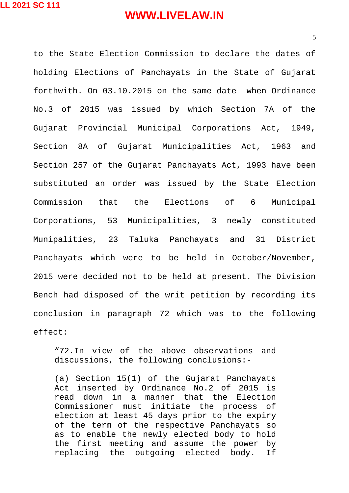to the State Election Commission to declare the dates of holding Elections of Panchayats in the State of Gujarat forthwith. On 03.10.2015 on the same date when Ordinance No.3 of 2015 was issued by which Section 7A of the Gujarat Provincial Municipal Corporations Act, 1949, Section 8A of Gujarat Municipalities Act, 1963 and Section 257 of the Gujarat Panchayats Act, 1993 have been substituted an order was issued by the State Election Commission that the Elections of 6 Municipal Corporations, 53 Municipalities, 3 newly constituted Munipalities, 23 Taluka Panchayats and 31 District Panchayats which were to be held in October/November, 2015 were decided not to be held at present. The Division Bench had disposed of the writ petition by recording its conclusion in paragraph 72 which was to the following effect:

"72.In view of the above observations and discussions, the following conclusions:-

(a) Section 15(1) of the Gujarat Panchayats Act inserted by Ordinance No.2 of 2015 is read down in a manner that the Election Commissioner must initiate the process of election at least 45 days prior to the expiry of the term of the respective Panchayats so as to enable the newly elected body to hold the first meeting and assume the power by replacing the outgoing elected body. If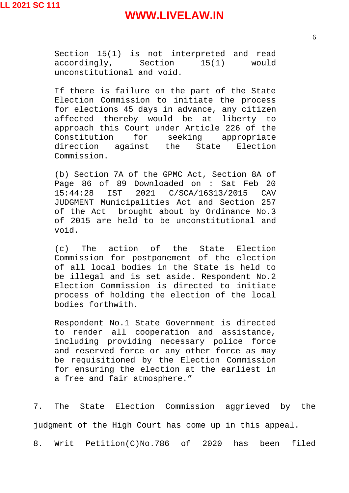Section 15(1) is not interpreted and read accordingly, Section 15(1) would unconstitutional and void.

If there is failure on the part of the State Election Commission to initiate the process for elections 45 days in advance, any citizen affected thereby would be at liberty to approach this Court under Article 226 of the Constitution for seeking appropriate direction against the State Election Commission.

(b) Section 7A of the GPMC Act, Section 8A of Page 86 of 89 Downloaded on : Sat Feb 20 15:44:28 IST 2021 C/SCA/16313/2015 CAV JUDGMENT Municipalities Act and Section 257 of the Act brought about by Ordinance No.3 of 2015 are held to be unconstitutional and void.

(c) The action of the State Election Commission for postponement of the election of all local bodies in the State is held to be illegal and is set aside. Respondent No.2 Election Commission is directed to initiate process of holding the election of the local bodies forthwith.

Respondent No.1 State Government is directed to render all cooperation and assistance, including providing necessary police force and reserved force or any other force as may be requisitioned by the Election Commission for ensuring the election at the earliest in a free and fair atmosphere."

7. The State Election Commission aggrieved by the judgment of the High Court has come up in this appeal. 8. Writ Petition(C)No.786 of 2020 has been filed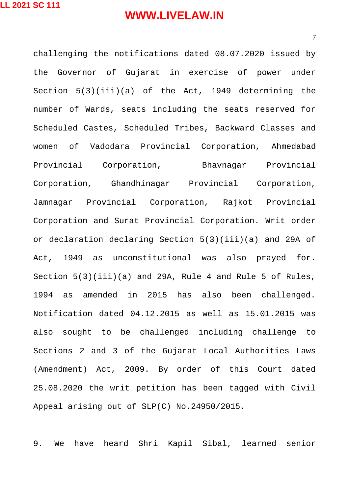challenging the notifications dated 08.07.2020 issued by the Governor of Gujarat in exercise of power under Section 5(3)(iii)(a) of the Act, 1949 determining the number of Wards, seats including the seats reserved for Scheduled Castes, Scheduled Tribes, Backward Classes and women of Vadodara Provincial Corporation, Ahmedabad Provincial Corporation, Bhavnagar Provincial Corporation, Ghandhinagar Provincial Corporation, Jamnagar Provincial Corporation, Rajkot Provincial Corporation and Surat Provincial Corporation. Writ order or declaration declaring Section 5(3)(iii)(a) and 29A of Act, 1949 as unconstitutional was also prayed for. Section 5(3)(iii)(a) and 29A, Rule 4 and Rule 5 of Rules, 1994 as amended in 2015 has also been challenged. Notification dated 04.12.2015 as well as 15.01.2015 was also sought to be challenged including challenge to Sections 2 and 3 of the Gujarat Local Authorities Laws (Amendment) Act, 2009. By order of this Court dated 25.08.2020 the writ petition has been tagged with Civil Appeal arising out of SLP(C) No.24950/2015.

9. We have heard Shri Kapil Sibal, learned senior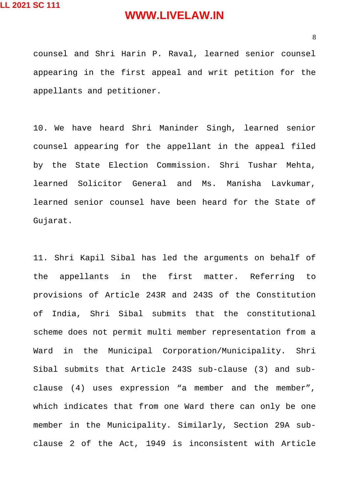counsel and Shri Harin P. Raval, learned senior counsel appearing in the first appeal and writ petition for the appellants and petitioner.

10. We have heard Shri Maninder Singh, learned senior counsel appearing for the appellant in the appeal filed by the State Election Commission. Shri Tushar Mehta, learned Solicitor General and Ms. Manisha Lavkumar, learned senior counsel have been heard for the State of Gujarat.

11. Shri Kapil Sibal has led the arguments on behalf of the appellants in the first matter. Referring to provisions of Article 243R and 243S of the Constitution of India, Shri Sibal submits that the constitutional scheme does not permit multi member representation from a Ward in the Municipal Corporation/Municipality. Shri Sibal submits that Article 243S sub-clause (3) and subclause (4) uses expression "a member and the member", which indicates that from one Ward there can only be one member in the Municipality. Similarly, Section 29A subclause 2 of the Act, 1949 is inconsistent with Article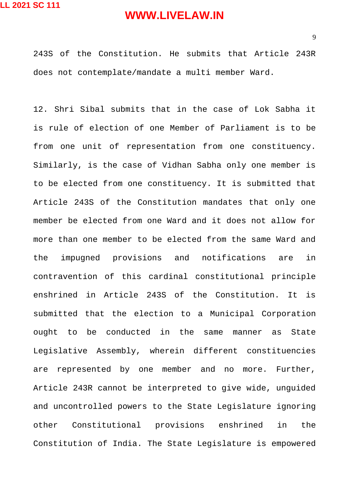243S of the Constitution. He submits that Article 243R does not contemplate/mandate a multi member Ward.

12. Shri Sibal submits that in the case of Lok Sabha it is rule of election of one Member of Parliament is to be from one unit of representation from one constituency. Similarly, is the case of Vidhan Sabha only one member is to be elected from one constituency. It is submitted that Article 243S of the Constitution mandates that only one member be elected from one Ward and it does not allow for more than one member to be elected from the same Ward and the impugned provisions and notifications are in contravention of this cardinal constitutional principle enshrined in Article 243S of the Constitution. It is submitted that the election to a Municipal Corporation ought to be conducted in the same manner as State Legislative Assembly, wherein different constituencies are represented by one member and no more. Further, Article 243R cannot be interpreted to give wide, unguided and uncontrolled powers to the State Legislature ignoring other Constitutional provisions enshrined in the Constitution of India. The State Legislature is empowered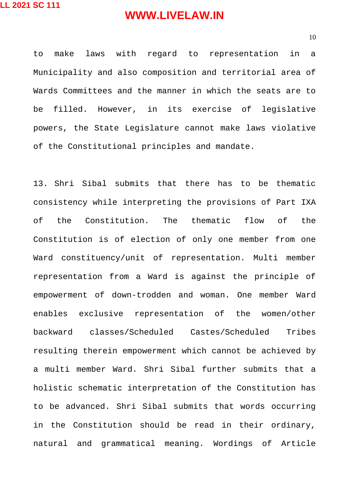10

to make laws with regard to representation in a Municipality and also composition and territorial area of Wards Committees and the manner in which the seats are to be filled. However, in its exercise of legislative powers, the State Legislature cannot make laws violative of the Constitutional principles and mandate.

13. Shri Sibal submits that there has to be thematic consistency while interpreting the provisions of Part IXA of the Constitution. The thematic flow of the Constitution is of election of only one member from one Ward constituency/unit of representation. Multi member representation from a Ward is against the principle of empowerment of down-trodden and woman. One member Ward enables exclusive representation of the women/other backward classes/Scheduled Castes/Scheduled Tribes resulting therein empowerment which cannot be achieved by a multi member Ward. Shri Sibal further submits that a holistic schematic interpretation of the Constitution has to be advanced. Shri Sibal submits that words occurring in the Constitution should be read in their ordinary, natural and grammatical meaning. Wordings of Article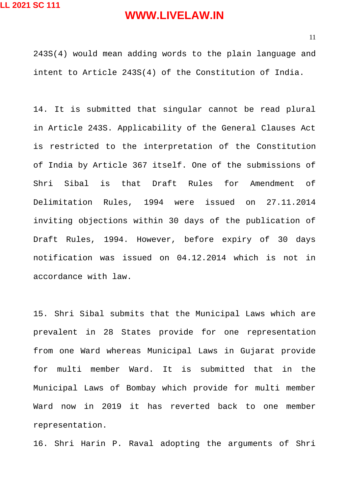243S(4) would mean adding words to the plain language and intent to Article 243S(4) of the Constitution of India.

14. It is submitted that singular cannot be read plural in Article 243S. Applicability of the General Clauses Act is restricted to the interpretation of the Constitution of India by Article 367 itself. One of the submissions of Shri Sibal is that Draft Rules for Amendment of Delimitation Rules, 1994 were issued on 27.11.2014 inviting objections within 30 days of the publication of Draft Rules, 1994. However, before expiry of 30 days notification was issued on 04.12.2014 which is not in accordance with law.

15. Shri Sibal submits that the Municipal Laws which are prevalent in 28 States provide for one representation from one Ward whereas Municipal Laws in Gujarat provide for multi member Ward. It is submitted that in the Municipal Laws of Bombay which provide for multi member Ward now in 2019 it has reverted back to one member representation.

16. Shri Harin P. Raval adopting the arguments of Shri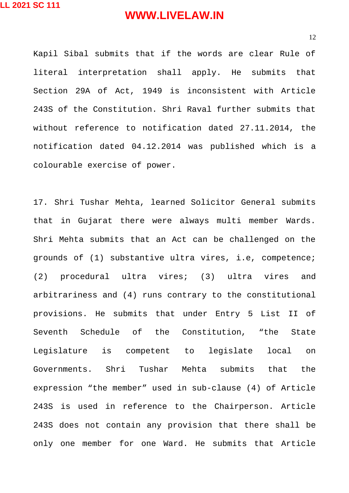Kapil Sibal submits that if the words are clear Rule of literal interpretation shall apply. He submits that Section 29A of Act, 1949 is inconsistent with Article 243S of the Constitution. Shri Raval further submits that without reference to notification dated 27.11.2014, the notification dated 04.12.2014 was published which is a colourable exercise of power.

17. Shri Tushar Mehta, learned Solicitor General submits that in Gujarat there were always multi member Wards. Shri Mehta submits that an Act can be challenged on the grounds of (1) substantive ultra vires, i.e, competence; (2) procedural ultra vires; (3) ultra vires and arbitrariness and (4) runs contrary to the constitutional provisions. He submits that under Entry 5 List II of Seventh Schedule of the Constitution, "the State Legislature is competent to legislate local on Governments. Shri Tushar Mehta submits that the expression "the member" used in sub-clause (4) of Article 243S is used in reference to the Chairperson. Article 243S does not contain any provision that there shall be only one member for one Ward. He submits that Article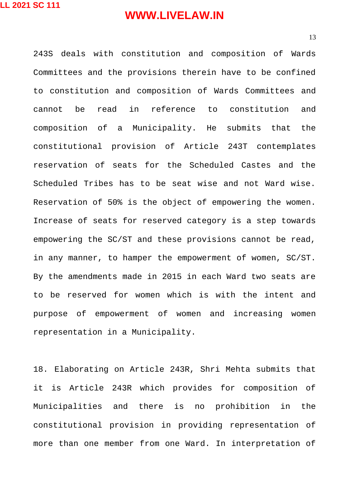243S deals with constitution and composition of Wards Committees and the provisions therein have to be confined to constitution and composition of Wards Committees and cannot be read in reference to constitution and composition of a Municipality. He submits that the constitutional provision of Article 243T contemplates reservation of seats for the Scheduled Castes and the Scheduled Tribes has to be seat wise and not Ward wise. Reservation of 50% is the object of empowering the women. Increase of seats for reserved category is a step towards empowering the SC/ST and these provisions cannot be read, in any manner, to hamper the empowerment of women, SC/ST. By the amendments made in 2015 in each Ward two seats are to be reserved for women which is with the intent and purpose of empowerment of women and increasing women representation in a Municipality.

18. Elaborating on Article 243R, Shri Mehta submits that it is Article 243R which provides for composition of Municipalities and there is no prohibition in the constitutional provision in providing representation of more than one member from one Ward. In interpretation of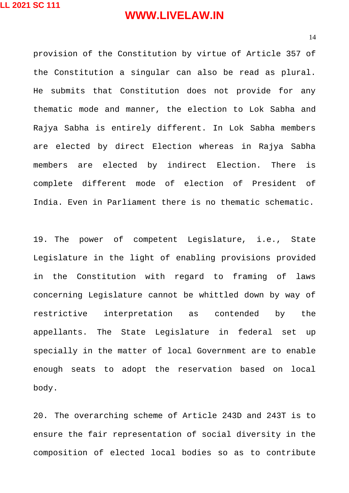provision of the Constitution by virtue of Article 357 of the Constitution a singular can also be read as plural. He submits that Constitution does not provide for any thematic mode and manner, the election to Lok Sabha and Rajya Sabha is entirely different. In Lok Sabha members are elected by direct Election whereas in Rajya Sabha members are elected by indirect Election. There is complete different mode of election of President of India. Even in Parliament there is no thematic schematic.

19. The power of competent Legislature, i.e., State Legislature in the light of enabling provisions provided in the Constitution with regard to framing of laws concerning Legislature cannot be whittled down by way of restrictive interpretation as contended by the appellants. The State Legislature in federal set up specially in the matter of local Government are to enable enough seats to adopt the reservation based on local body.

20. The overarching scheme of Article 243D and 243T is to ensure the fair representation of social diversity in the composition of elected local bodies so as to contribute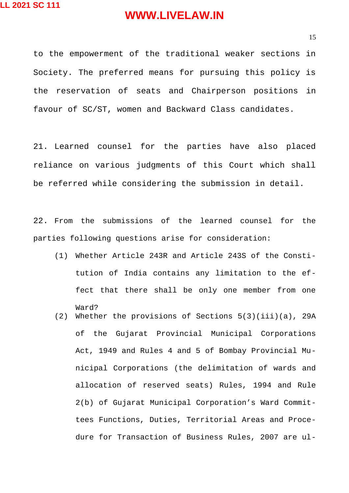to the empowerment of the traditional weaker sections in Society. The preferred means for pursuing this policy is the reservation of seats and Chairperson positions in favour of SC/ST, women and Backward Class candidates.

21. Learned counsel for the parties have also placed reliance on various judgments of this Court which shall be referred while considering the submission in detail.

22. From the submissions of the learned counsel for the parties following questions arise for consideration:

- (1) Whether Article 243R and Article 243S of the Constitution of India contains any limitation to the effect that there shall be only one member from one Ward?
- (2) Whether the provisions of Sections  $5(3)(iii)(a)$ , 29A of the Gujarat Provincial Municipal Corporations Act, 1949 and Rules 4 and 5 of Bombay Provincial Municipal Corporations (the delimitation of wards and allocation of reserved seats) Rules, 1994 and Rule 2(b) of Gujarat Municipal Corporation's Ward Committees Functions, Duties, Territorial Areas and Procedure for Transaction of Business Rules, 2007 are ul-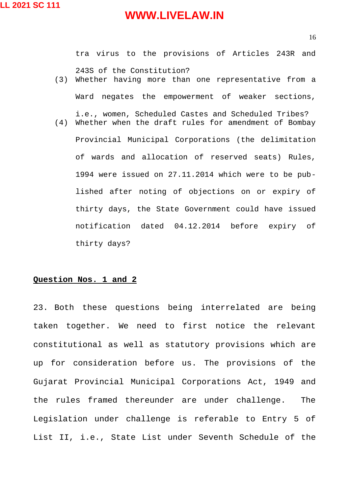tra virus to the provisions of Articles 243R and 243S of the Constitution? (3) Whether having more than one representative from a Ward negates the empowerment of weaker sections, i.e., women, Scheduled Castes and Scheduled Tribes? (4) Whether when the draft rules for amendment of Bombay Provincial Municipal Corporations (the delimitation of wards and allocation of reserved seats) Rules, 1994 were issued on 27.11.2014 which were to be published after noting of objections on or expiry of thirty days, the State Government could have issued notification dated 04.12.2014 before expiry of

thirty days?

#### **Question Nos. 1 and 2**

23. Both these questions being interrelated are being taken together. We need to first notice the relevant constitutional as well as statutory provisions which are up for consideration before us. The provisions of the Gujarat Provincial Municipal Corporations Act, 1949 and the rules framed thereunder are under challenge. The Legislation under challenge is referable to Entry 5 of List II, i.e., State List under Seventh Schedule of the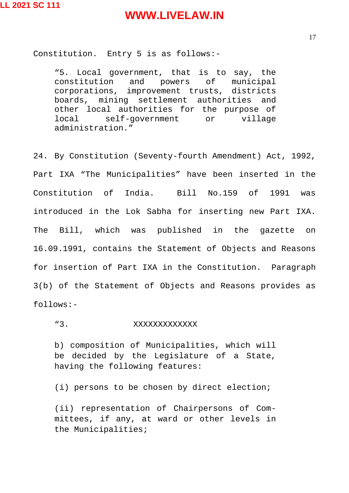Constitution. Entry 5 is as follows:-

"5. Local government, that is to say, the constitution and powers of municipal corporations, improvement trusts, districts boards, mining settlement authorities and other local authorities for the purpose of local self-government or village administration."

24. By Constitution (Seventy-fourth Amendment) Act, 1992, Part IXA "The Municipalities" have been inserted in the Constitution of India. Bill No.159 of 1991 was introduced in the Lok Sabha for inserting new Part IXA. The Bill, which was published in the gazette on 16.09.1991, contains the Statement of Objects and Reasons for insertion of Part IXA in the Constitution. Paragraph 3(b) of the Statement of Objects and Reasons provides as follows:-

"3. XXXXXXXXXXXXXX

b) composition of Municipalities, which will be decided by the Legislature of a State, having the following features:

(i) persons to be chosen by direct election;

(ii) representation of Chairpersons of Committees, if any, at ward or other levels in the Municipalities;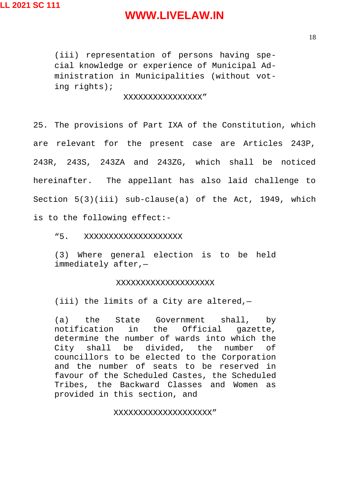(iii) representation of persons having special knowledge or experience of Municipal Administration in Municipalities (without voting rights);

#### XXXXXXXXXXXXXXXX"

25. The provisions of Part IXA of the Constitution, which are relevant for the present case are Articles 243P, 243R, 243S, 243ZA and 243ZG, which shall be noticed hereinafter. The appellant has also laid challenge to Section 5(3)(iii) sub-clause(a) of the Act, 1949, which is to the following effect:-

"5. XXXXXXXXXXXXXXXXXXX

(3) Where general election is to be held immediately after,—

#### XXXXXXXXXXXXXXXXXXXX

(iii) the limits of a City are altered,—

(a) the State Government shall, by notification in the Official gazette, determine the number of wards into which the City shall be divided, the number of councillors to be elected to the Corporation and the number of seats to be reserved in favour of the Scheduled Castes, the Scheduled Tribes, the Backward Classes and Women as provided in this section, and

#### XXXXXXXXXXXXXXXXXXXX"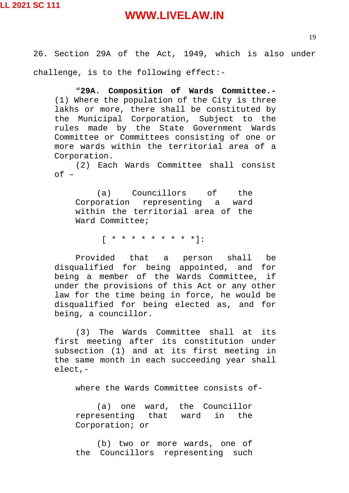26. Section 29A of the Act, 1949, which is also under challenge, is to the following effect:-

"**29A. Composition of Wards Committee.-** (1) Where the population of the City is three lakhs or more, there shall be constituted by the Municipal Corporation, Subject to the rules made by the State Government Wards Committee or Committees consisting of one or more wards within the territorial area of a Corporation.

(2) Each Wards Committee shall consist  $of -$ 

(a) Councillors of the Corporation representing a ward within the territorial area of the Ward Committee;

 $\begin{bmatrix} * & * & * & * & * & * & * & * \ \end{bmatrix}$ :

Provided that a person shall be disqualified for being appointed, and for being a member of the Wards Committee, if under the provisions of this Act or any other law for the time being in force, he would be disqualified for being elected as, and for being, a councillor.

(3) The Wards Committee shall at its first meeting after its constitution under subsection (1) and at its first meeting in the same month in each succeeding year shall elect,-

where the Wards Committee consists of-

(a) one ward, the Councillor representing that ward in the Corporation; or

(b) two or more wards, one of the Councillors representing such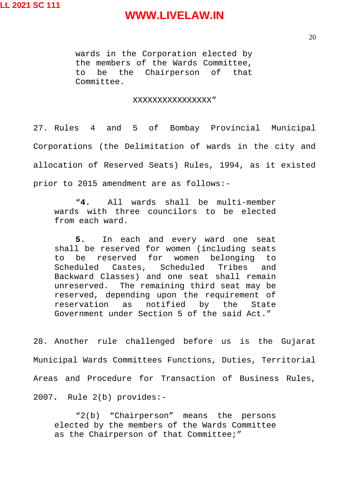wards in the Corporation elected by the members of the Wards Committee, to be the Chairperson of that Committee.

#### XXXXXXXXXXXXXXXX"

27. Rules 4 and 5 of Bombay Provincial Municipal Corporations (the Delimitation of wards in the city and allocation of Reserved Seats) Rules, 1994, as it existed prior to 2015 amendment are as follows:-

"**4.** All wards shall be multi-member wards with three councilors to be elected from each ward.

**5.** In each and every ward one seat shall be reserved for women (including seats to be reserved for women belonging to Scheduled Castes, Scheduled Tribes and Backward Classes) and one seat shall remain unreserved. The remaining third seat may be reserved, depending upon the requirement of reservation as notified by the State Government under Section 5 of the said Act."

28. Another rule challenged before us is the Gujarat Municipal Wards Committees Functions, Duties, Territorial Areas and Procedure for Transaction of Business Rules, 2007**.** Rule 2(b) provides:-

"2(b) "Chairperson" means the persons elected by the members of the Wards Committee as the Chairperson of that Committee;"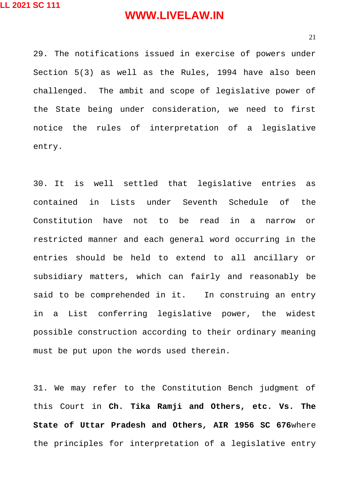29. The notifications issued in exercise of powers under Section 5(3) as well as the Rules, 1994 have also been challenged. The ambit and scope of legislative power of the State being under consideration, we need to first notice the rules of interpretation of a legislative entry.

30. It is well settled that legislative entries as contained in Lists under Seventh Schedule of the Constitution have not to be read in a narrow or restricted manner and each general word occurring in the entries should be held to extend to all ancillary or subsidiary matters, which can fairly and reasonably be said to be comprehended in it. In construing an entry in a List conferring legislative power, the widest possible construction according to their ordinary meaning must be put upon the words used therein.

31. We may refer to the Constitution Bench judgment of this Court in **Ch. Tika Ramji and Others, etc. Vs. The State of Uttar Pradesh and Others, AIR 1956 SC 676**where the principles for interpretation of a legislative entry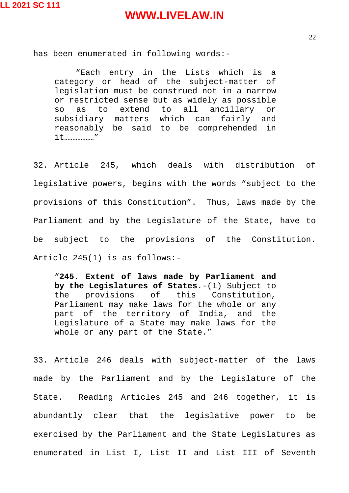22

has been enumerated in following words:-

"Each entry in the Lists which is a category or head of the subject-matter of legislation must be construed not in a narrow or restricted sense but as widely as possible so as to extend to all ancillary or<br>subsidiarv matters which can fairly and subsidiary matters which can fairly and reasonably be said to be comprehended in it………………"

32. Article 245, which deals with distribution of legislative powers, begins with the words "subject to the provisions of this Constitution". Thus, laws made by the Parliament and by the Legislature of the State, have to be subject to the provisions of the Constitution. Article 245(1) is as follows:-

"**245. Extent of laws made by Parliament and by the Legislatures of States**.-(1) Subject to the provisions of this Constitution, Parliament may make laws for the whole or any part of the territory of India, and the Legislature of a State may make laws for the whole or any part of the State."

33. Article 246 deals with subject-matter of the laws made by the Parliament and by the Legislature of the State. Reading Articles 245 and 246 together, it is abundantly clear that the legislative power to be exercised by the Parliament and the State Legislatures as enumerated in List I, List II and List III of Seventh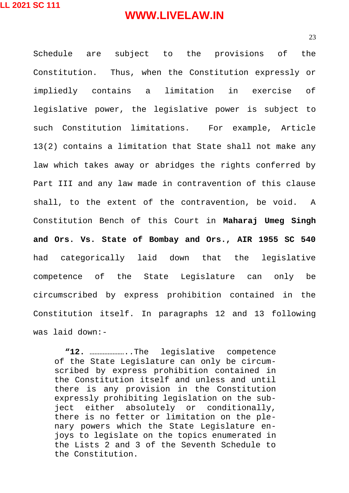Schedule are subject to the provisions of the Constitution. Thus, when the Constitution expressly or impliedly contains a limitation in exercise of legislative power, the legislative power is subject to such Constitution limitations. For example, Article 13(2) contains a limitation that State shall not make any law which takes away or abridges the rights conferred by Part III and any law made in contravention of this clause shall, to the extent of the contravention, be void. A Constitution Bench of this Court in **Maharaj Umeg Singh and Ors. Vs. State of Bombay and Ors., AIR 1955 SC 540** had categorically laid down that the legislative competence of the State Legislature can only be circumscribed by express prohibition contained in the Constitution itself. In paragraphs 12 and 13 following was laid down:-

**"12.** …………………..The legislative competence of the State Legislature can only be circumscribed by express prohibition contained in the Constitution itself and unless and until there is any provision in the Constitution expressly prohibiting legislation on the subject either absolutely or conditionally, there is no fetter or limitation on the plenary powers which the State Legislature enjoys to legislate on the topics enumerated in the Lists 2 and 3 of the Seventh Schedule to the Constitution.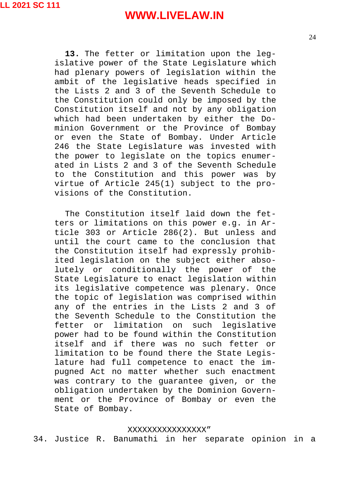**13.** The fetter or limitation upon the legislative power of the State Legislature which had plenary powers of legislation within the ambit of the legislative heads specified in the Lists 2 and 3 of the Seventh Schedule to the Constitution could only be imposed by the Constitution itself and not by any obligation which had been undertaken by either the Dominion Government or the Province of Bombay or even the State of Bombay. Under Article 246 the State Legislature was invested with the power to legislate on the topics enumerated in Lists 2 and 3 of the Seventh Schedule to the Constitution and this power was by virtue of Article 245(1) subject to the provisions of the Constitution.

The Constitution itself laid down the fetters or limitations on this power e.g. in Article 303 or Article 286(2). But unless and until the court came to the conclusion that the Constitution itself had expressly prohibited legislation on the subject either absolutely or conditionally the power of the State Legislature to enact legislation within its legislative competence was plenary. Once the topic of legislation was comprised within any of the entries in the Lists 2 and 3 of the Seventh Schedule to the Constitution the fetter or limitation on such legislative power had to be found within the Constitution itself and if there was no such fetter or limitation to be found there the State Legislature had full competence to enact the impugned Act no matter whether such enactment was contrary to the guarantee given, or the obligation undertaken by the Dominion Government or the Province of Bombay or even the State of Bombay.

#### XXXXXXXXXXXXXXXX"

34. Justice R. Banumathi in her separate opinion in a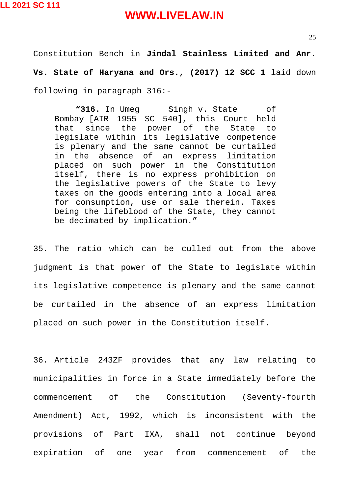Constitution Bench in **Jindal Stainless Limited and Anr. Vs. State of Haryana and Ors., (2017) 12 SCC 1** laid down following in paragraph 316:-

**"316.** In Umeg Singh v. State of Bombay [AIR 1955 SC 540], this Court held that since the power of the State to legislate within its legislative competence is plenary and the same cannot be curtailed in the absence of an express limitation placed on such power in the Constitution itself, there is no express prohibition on the legislative powers of the State to levy taxes on the goods entering into a local area for consumption, use or sale therein. Taxes being the lifeblood of the State, they cannot be decimated by implication."

35. The ratio which can be culled out from the above judgment is that power of the State to legislate within its legislative competence is plenary and the same cannot be curtailed in the absence of an express limitation placed on such power in the Constitution itself.

36. Article 243ZF provides that any law relating to municipalities in force in a State immediately before the commencement of the Constitution (Seventy-fourth Amendment) Act, 1992, which is inconsistent with the provisions of Part IXA, shall not continue beyond expiration of one year from commencement of the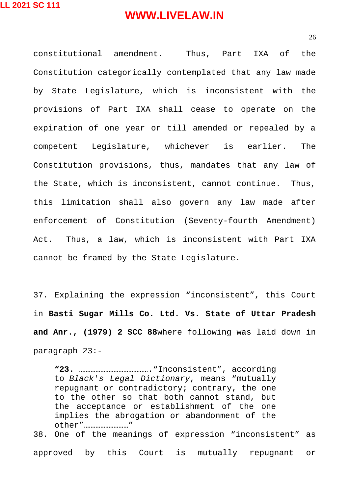26

constitutional amendment. Thus, Part IXA of the Constitution categorically contemplated that any law made by State Legislature, which is inconsistent with the provisions of Part IXA shall cease to operate on the expiration of one year or till amended or repealed by a competent Legislature, whichever is earlier. The Constitution provisions, thus, mandates that any law of the State, which is inconsistent, cannot continue. Thus, this limitation shall also govern any law made after enforcement of Constitution (Seventy-fourth Amendment) Act. Thus, a law, which is inconsistent with Part IXA cannot be framed by the State Legislature.

37. Explaining the expression "inconsistent", this Court in **Basti Sugar Mills Co. Ltd. Vs. State of Uttar Pradesh and Anr., (1979) 2 SCC 88**where following was laid down in paragraph 23:-

**"23.** ……………………………………."Inconsistent", according to *Black*'*s Legal Dictionary*, means "mutually repugnant or contradictory; contrary, the one to the other so that both cannot stand, but the acceptance or establishment of the one implies the abrogation or abandonment of the other"………………………"

38. One of the meanings of expression "inconsistent" as approved by this Court is mutually repugnant or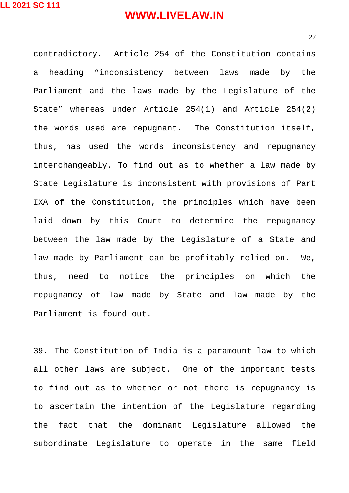27

contradictory. Article 254 of the Constitution contains a heading "inconsistency between laws made by the Parliament and the laws made by the Legislature of the State" whereas under Article 254(1) and Article 254(2) the words used are repugnant. The Constitution itself, thus, has used the words inconsistency and repugnancy interchangeably. To find out as to whether a law made by State Legislature is inconsistent with provisions of Part IXA of the Constitution, the principles which have been laid down by this Court to determine the repugnancy between the law made by the Legislature of a State and law made by Parliament can be profitably relied on. We, thus, need to notice the principles on which the repugnancy of law made by State and law made by the Parliament is found out.

39. The Constitution of India is a paramount law to which all other laws are subject. One of the important tests to find out as to whether or not there is repugnancy is to ascertain the intention of the Legislature regarding the fact that the dominant Legislature allowed the subordinate Legislature to operate in the same field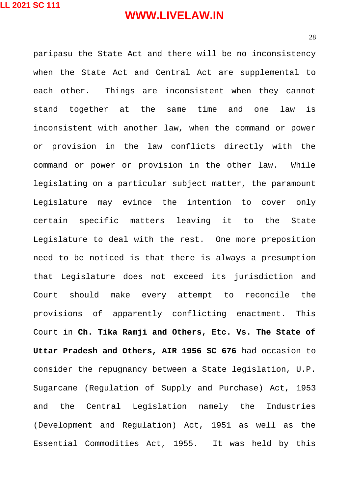28

paripasu the State Act and there will be no inconsistency when the State Act and Central Act are supplemental to each other. Things are inconsistent when they cannot stand together at the same time and one law is inconsistent with another law, when the command or power or provision in the law conflicts directly with the command or power or provision in the other law. While legislating on a particular subject matter, the paramount Legislature may evince the intention to cover only certain specific matters leaving it to the State Legislature to deal with the rest. One more preposition need to be noticed is that there is always a presumption that Legislature does not exceed its jurisdiction and Court should make every attempt to reconcile the provisions of apparently conflicting enactment. This Court in **Ch. Tika Ramji and Others, Etc. Vs. The State of Uttar Pradesh and Others, AIR 1956 SC 676** had occasion to consider the repugnancy between a State legislation, U.P. Sugarcane (Regulation of Supply and Purchase) Act, 1953 and the Central Legislation namely the Industries (Development and Regulation) Act, 1951 as well as the Essential Commodities Act, 1955. It was held by this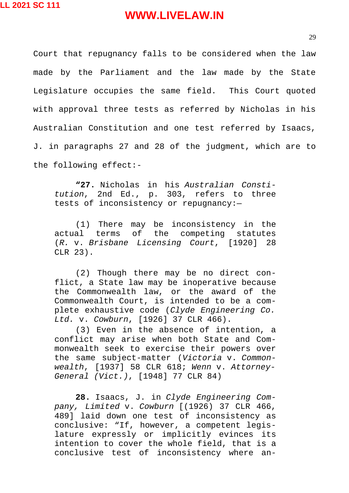Court that repugnancy falls to be considered when the law made by the Parliament and the law made by the State Legislature occupies the same field. This Court quoted with approval three tests as referred by Nicholas in his Australian Constitution and one test referred by Isaacs, J. in paragraphs 27 and 28 of the judgment, which are to the following effect:-

**"27.** Nicholas in his *Australian Constitution*, 2nd Ed., p. 303, refers to three tests of inconsistency or repugnancy:—

(1) There may be inconsistency in the actual terms of the competing statutes (*R.* v. *Brisbane Licensing Court*, [1920] 28 CLR 23).

(2) Though there may be no direct conflict, a State law may be inoperative because the Commonwealth law, or the award of the Commonwealth Court, is intended to be a complete exhaustive code (*Clyde Engineering Co. Ltd.* v. *Cowburn*, [1926] 37 CLR 466).

(3) Even in the absence of intention, a conflict may arise when both State and Commonwealth seek to exercise their powers over the same subject-matter (*Victoria* v. *Commonwealth*, [1937] 58 CLR 618; *Wenn* v. *Attorney-General (Vict.)*, [1948] 77 CLR 84)

**28.** Isaacs, J. in *Clyde Engineering Company, Limited* v. *Cowburn* [(1926) 37 CLR 466, 489] laid down one test of inconsistency as conclusive: "If, however, a competent legislature expressly or implicitly evinces its intention to cover the whole field, that is a conclusive test of inconsistency where an-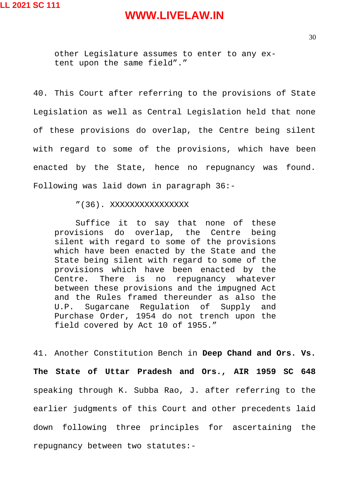other Legislature assumes to enter to any extent upon the same field"."

40. This Court after referring to the provisions of State Legislation as well as Central Legislation held that none of these provisions do overlap, the Centre being silent with regard to some of the provisions, which have been enacted by the State, hence no repugnancy was found. Following was laid down in paragraph 36:-

#### "(36). XXXXXXXXXXXXXXXX

Suffice it to say that none of these provisions do overlap, the Centre being silent with regard to some of the provisions which have been enacted by the State and the State being silent with regard to some of the provisions which have been enacted by the Centre. There is no repugnancy whatever between these provisions and the impugned Act and the Rules framed thereunder as also the U.P. Sugarcane Regulation of Supply and Purchase Order, 1954 do not trench upon the field covered by Act 10 of 1955."

41. Another Constitution Bench in **Deep Chand and Ors. Vs. The State of Uttar Pradesh and Ors., AIR 1959 SC 648** speaking through K. Subba Rao, J. after referring to the earlier judgments of this Court and other precedents laid down following three principles for ascertaining the repugnancy between two statutes:-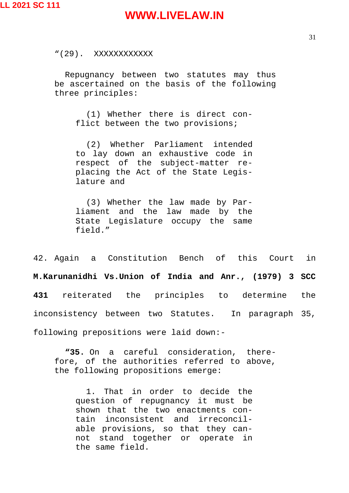"(29). XXXXXXXXXXXX

Repugnancy between two statutes may thus be ascertained on the basis of the following three principles:

(1) Whether there is direct conflict between the two provisions;

(2) Whether Parliament intended to lay down an exhaustive code in respect of the subject-matter replacing the Act of the State Legislature and

(3) Whether the law made by Parliament and the law made by the State Legislature occupy the same field."

42. Again a Constitution Bench of this Court in **M.Karunanidhi Vs.Union of India and Anr., (1979) 3 SCC 431** reiterated the principles to determine the inconsistency between two Statutes. In paragraph 35, following prepositions were laid down:-

**"35.** On a careful consideration, therefore, of the authorities referred to above, the following propositions emerge:

1. That in order to decide the question of repugnancy it must be shown that the two enactments contain inconsistent and irreconcilable provisions, so that they cannot stand together or operate in the same field.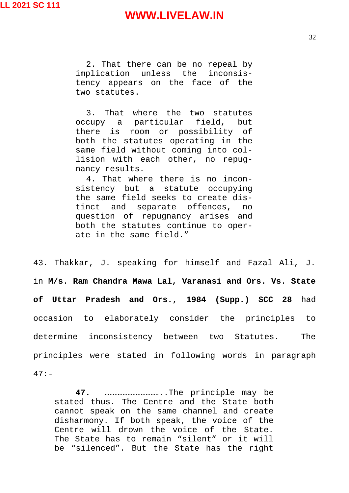2. That there can be no repeal by implication unless the inconsistency appears on the face of the two statutes.

3. That where the two statutes occupy a particular field, but there is room or possibility of both the statutes operating in the same field without coming into collision with each other, no repugnancy results.

4. That where there is no inconsistency but a statute occupying the same field seeks to create distinct and separate offences, no question of repugnancy arises and both the statutes continue to operate in the same field."

43. Thakkar, J. speaking for himself and Fazal Ali, J. in **M/s. Ram Chandra Mawa Lal, Varanasi and Ors. Vs. State of Uttar Pradesh and Ors., 1984 (Supp.) SCC 28** had occasion to elaborately consider the principles to determine inconsistency between two Statutes. The principles were stated in following words in paragraph 47:-

**47.** ……………………………..The principle may be stated thus. The Centre and the State both cannot speak on the same channel and create disharmony. If both speak, the voice of the Centre will drown the voice of the State. The State has to remain "silent" or it will be "silenced". But the State has the right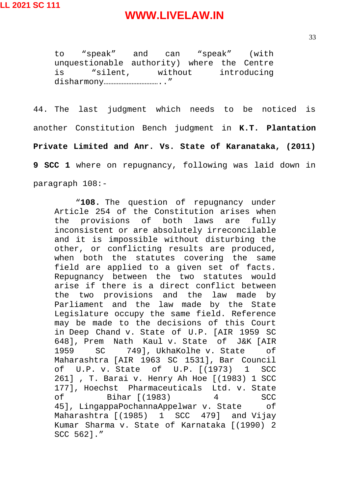to "speak" and can "speak" (with unquestionable authority) where the Centre is "silent, without introducing disharmony…………………………….."

44. The last judgment which needs to be noticed is another Constitution Bench judgment in **K.T. Plantation Private Limited and Anr. Vs. State of Karanataka, (2011) 9 SCC 1** where on repugnancy, following was laid down in paragraph 108:-

"**108.** The question of repugnancy under Article 254 of the Constitution arises when the provisions of both laws are fully inconsistent or are absolutely irreconcilable and it is impossible without disturbing the other, or conflicting results are produced, when both the statutes covering the same field are applied to a given set of facts. Repugnancy between the two statutes would arise if there is a direct conflict between the two provisions and the law made by Parliament and the law made by the State Legislature occupy the same field. Reference may be made to the decisions of this Court in Deep Chand v. State of U.P. [AIR 1959 SC 648], Prem Nath Kaul v. State of J&K [AIR 1959 SC 749], UkhaKolhe v. State of Maharashtra [AIR 1963 SC 1531], Bar Council of U.P. v. State of U.P. [(1973) 1 SCC 261] , T. Barai v. Henry Ah Hoe [(1983) 1 SCC 177], Hoechst Pharmaceuticals Ltd. v. State of Bihar [(1983) 4 SCC 45], LingappaPochannaAppelwar v. State of Maharashtra [(1985) 1 SCC 479] and Vijay Kumar Sharma v. State of Karnataka [(1990) 2 SCC 562]."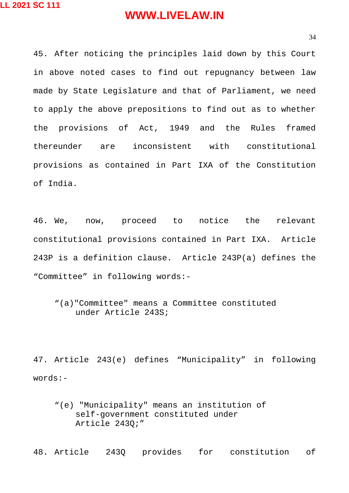34

45. After noticing the principles laid down by this Court in above noted cases to find out repugnancy between law made by State Legislature and that of Parliament, we need to apply the above prepositions to find out as to whether the provisions of Act, 1949 and the Rules framed thereunder are inconsistent with constitutional provisions as contained in Part IXA of the Constitution of India.

46. We, now, proceed to notice the relevant constitutional provisions contained in Part IXA. Article 243P is a definition clause. Article 243P(a) defines the "Committee" in following words:-

"(a)"Committee" means a Committee constituted under Article 243S;

47. Article 243(e) defines "Municipality" in following words:-

"(e) "Municipality" means an institution of self-government constituted under Article 243Q;"

48. Article 243Q provides for constitution of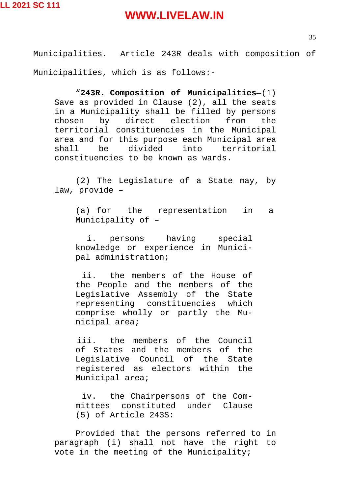Municipalities. Article 243R deals with composition of Municipalities, which is as follows:-

"**243R. Composition of Municipalities—**(1) Save as provided in Clause (2), all the seats in a Municipality shall be filled by persons chosen by direct election from the territorial constituencies in the Municipal area and for this purpose each Municipal area shall be divided into territorial constituencies to be known as wards.

(2) The Legislature of a State may, by law, provide –

(a) for the representation in a Municipality of –

i. persons having special knowledge or experience in Municipal administration;

ii. the members of the House of the People and the members of the Legislative Assembly of the State representing constituencies which comprise wholly or partly the Municipal area;

iii. the members of the Council of States and the members of the Legislative Council of the State registered as electors within the Municipal area;

iv. the Chairpersons of the Committees constituted under Clause (5) of Article 243S:

Provided that the persons referred to in paragraph (i) shall not have the right to vote in the meeting of the Municipality;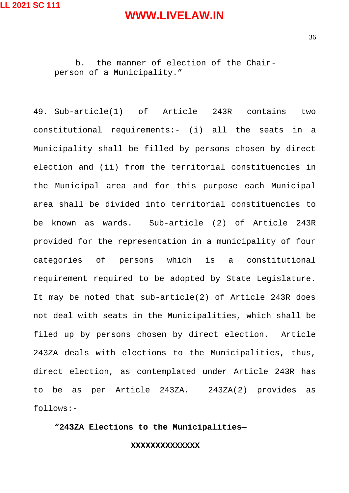b. the manner of election of the Chairperson of a Municipality."

49. Sub-article(1) of Article 243R contains two constitutional requirements:- (i) all the seats in a Municipality shall be filled by persons chosen by direct election and (ii) from the territorial constituencies in the Municipal area and for this purpose each Municipal area shall be divided into territorial constituencies to be known as wards. Sub-article (2) of Article 243R provided for the representation in a municipality of four categories of persons which is a constitutional requirement required to be adopted by State Legislature. It may be noted that sub-article(2) of Article 243R does not deal with seats in the Municipalities, which shall be filed up by persons chosen by direct election. Article 243ZA deals with elections to the Municipalities, thus, direct election, as contemplated under Article 243R has to be as per Article 243ZA. 243ZA(2) provides as follows:-

**"243ZA Elections to the Municipalities—**

**XXXXXXXXXXXXXX**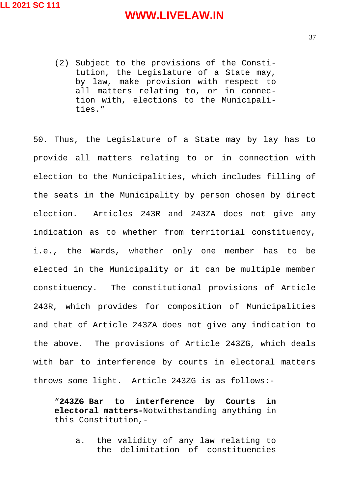(2) Subject to the provisions of the Constitution, the Legislature of a State may, by law, make provision with respect to all matters relating to, or in connection with, elections to the Municipalities."

50. Thus, the Legislature of a State may by lay has to provide all matters relating to or in connection with election to the Municipalities, which includes filling of the seats in the Municipality by person chosen by direct election. Articles 243R and 243ZA does not give any indication as to whether from territorial constituency, i.e., the Wards, whether only one member has to be elected in the Municipality or it can be multiple member constituency. The constitutional provisions of Article 243R, which provides for composition of Municipalities and that of Article 243ZA does not give any indication to the above. The provisions of Article 243ZG, which deals with bar to interference by courts in electoral matters throws some light. Article 243ZG is as follows:-

"**243ZG Bar to interference by Courts in electoral matters-**Notwithstanding anything in this Constitution,-

a. the validity of any law relating to the delimitation of constituencies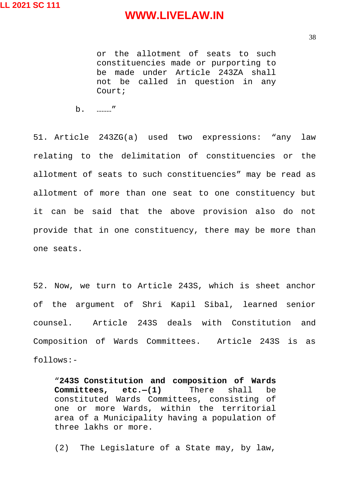or the allotment of seats to such constituencies made or purporting to be made under Article 243ZA shall not be called in question in any Court;

b. ………"

51. Article 243ZG(a) used two expressions: "any law relating to the delimitation of constituencies or the allotment of seats to such constituencies" may be read as allotment of more than one seat to one constituency but it can be said that the above provision also do not provide that in one constituency, there may be more than one seats.

52. Now, we turn to Article 243S, which is sheet anchor of the argument of Shri Kapil Sibal, learned senior counsel. Article 243S deals with Constitution and Composition of Wards Committees. Article 243S is as follows:-

"**243S Constitution and composition of Wards Committees, etc.—(1)** There shall be constituted Wards Committees, consisting of one or more Wards, within the territorial area of a Municipality having a population of three lakhs or more.

(2) The Legislature of a State may, by law,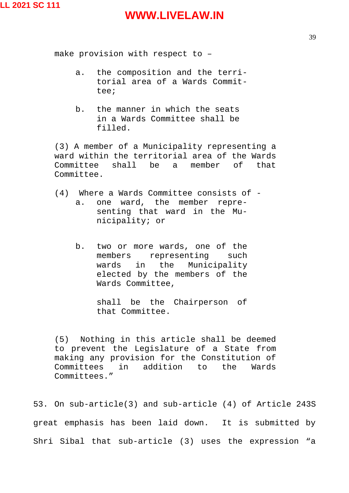make provision with respect to –

- a. the composition and the territorial area of a Wards Committee;
- b. the manner in which the seats in a Wards Committee shall be filled.

(3) A member of a Municipality representing a ward within the territorial area of the Wards Committee shall be a member of that Committee.

- (4) Where a Wards Committee consists of a. one ward, the member representing that ward in the Municipality; or
	- b. two or more wards, one of the members representing such wards in the Municipality elected by the members of the Wards Committee,

shall be the Chairperson of that Committee.

(5) Nothing in this article shall be deemed to prevent the Legislature of a State from making any provision for the Constitution of Committees in addition to the Wards Committees."

53. On sub-article(3) and sub-article (4) of Article 243S great emphasis has been laid down. It is submitted by Shri Sibal that sub-article (3) uses the expression "a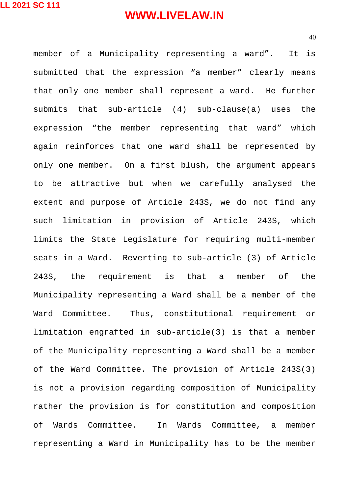member of a Municipality representing a ward". It is submitted that the expression "a member" clearly means that only one member shall represent a ward. He further submits that sub-article (4) sub-clause(a) uses the expression "the member representing that ward" which again reinforces that one ward shall be represented by only one member. On a first blush, the argument appears to be attractive but when we carefully analysed the extent and purpose of Article 243S, we do not find any such limitation in provision of Article 243S, which limits the State Legislature for requiring multi-member seats in a Ward. Reverting to sub-article (3) of Article 243S, the requirement is that a member of the Municipality representing a Ward shall be a member of the Ward Committee. Thus, constitutional requirement or limitation engrafted in sub-article(3) is that a member of the Municipality representing a Ward shall be a member of the Ward Committee. The provision of Article 243S(3) is not a provision regarding composition of Municipality rather the provision is for constitution and composition of Wards Committee. In Wards Committee, a member representing a Ward in Municipality has to be the member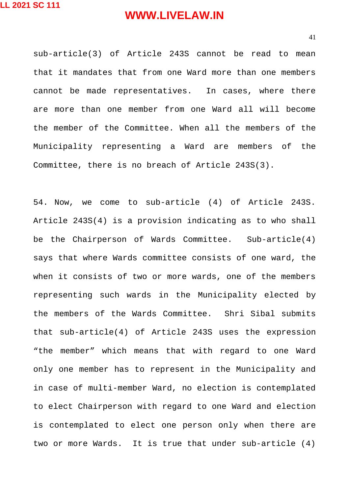sub-article(3) of Article 243S cannot be read to mean that it mandates that from one Ward more than one members cannot be made representatives. In cases, where there are more than one member from one Ward all will become the member of the Committee. When all the members of the Municipality representing a Ward are members of the Committee, there is no breach of Article 243S(3).

54. Now, we come to sub-article (4) of Article 243S. Article 243S(4) is a provision indicating as to who shall be the Chairperson of Wards Committee. Sub-article(4) says that where Wards committee consists of one ward, the when it consists of two or more wards, one of the members representing such wards in the Municipality elected by the members of the Wards Committee. Shri Sibal submits that sub-article(4) of Article 243S uses the expression "the member" which means that with regard to one Ward only one member has to represent in the Municipality and in case of multi-member Ward, no election is contemplated to elect Chairperson with regard to one Ward and election is contemplated to elect one person only when there are two or more Wards. It is true that under sub-article (4)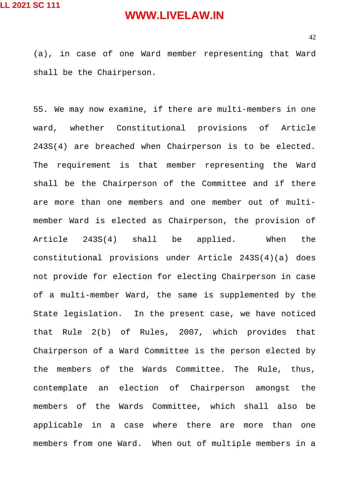(a), in case of one Ward member representing that Ward shall be the Chairperson.

55. We may now examine, if there are multi-members in one ward, whether Constitutional provisions of Article 243S(4) are breached when Chairperson is to be elected. The requirement is that member representing the Ward shall be the Chairperson of the Committee and if there are more than one members and one member out of multimember Ward is elected as Chairperson, the provision of Article 243S(4) shall be applied. When the constitutional provisions under Article 243S(4)(a) does not provide for election for electing Chairperson in case of a multi-member Ward, the same is supplemented by the State legislation. In the present case, we have noticed that Rule 2(b) of Rules, 2007, which provides that Chairperson of a Ward Committee is the person elected by the members of the Wards Committee. The Rule, thus, contemplate an election of Chairperson amongst the members of the Wards Committee, which shall also be applicable in a case where there are more than one members from one Ward. When out of multiple members in a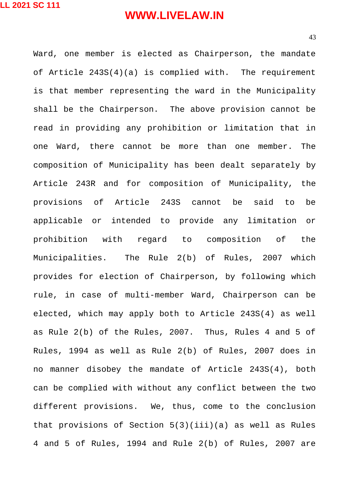43

Ward, one member is elected as Chairperson, the mandate of Article 243S(4)(a) is complied with. The requirement is that member representing the ward in the Municipality shall be the Chairperson. The above provision cannot be read in providing any prohibition or limitation that in one Ward, there cannot be more than one member. The composition of Municipality has been dealt separately by Article 243R and for composition of Municipality, the provisions of Article 243S cannot be said to be applicable or intended to provide any limitation or prohibition with regard to composition of the Municipalities. The Rule 2(b) of Rules, 2007 which provides for election of Chairperson, by following which rule, in case of multi-member Ward, Chairperson can be elected, which may apply both to Article 243S(4) as well as Rule 2(b) of the Rules, 2007. Thus, Rules 4 and 5 of Rules, 1994 as well as Rule 2(b) of Rules, 2007 does in no manner disobey the mandate of Article 243S(4), both can be complied with without any conflict between the two different provisions. We, thus, come to the conclusion that provisions of Section  $5(3)(iii)(a)$  as well as Rules 4 and 5 of Rules, 1994 and Rule 2(b) of Rules, 2007 are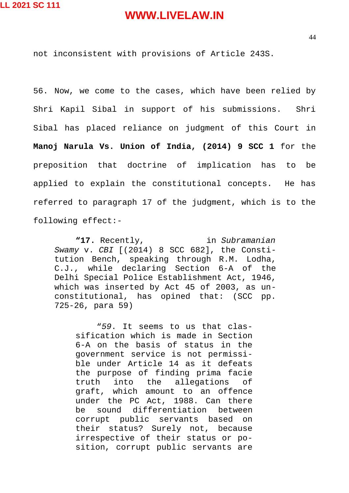not inconsistent with provisions of Article 243S.

56. Now, we come to the cases, which have been relied by Shri Kapil Sibal in support of his submissions. Shri Sibal has placed reliance on judgment of this Court in **Manoj Narula Vs. Union of India, (2014) 9 SCC 1** for the preposition that doctrine of implication has to be applied to explain the constitutional concepts. He has referred to paragraph 17 of the judgment, which is to the following effect:-

**"17.** Recently, in *Subramanian Swamy* v. *CBI* [(2014) 8 SCC 682], the Constitution Bench, speaking through R.M. Lodha, C.J., while declaring Section 6-A of the Delhi Special Police Establishment Act, 1946, which was inserted by Act 45 of 2003, as unconstitutional, has opined that: (SCC pp. 725-26, para 59)

"*59*. It seems to us that classification which is made in Section 6-A on the basis of status in the government service is not permissible under Article 14 as it defeats the purpose of finding prima facie truth into the allegations of graft, which amount to an offence under the PC Act, 1988. Can there be sound differentiation between corrupt public servants based on their status? Surely not, because irrespective of their status or position, corrupt public servants are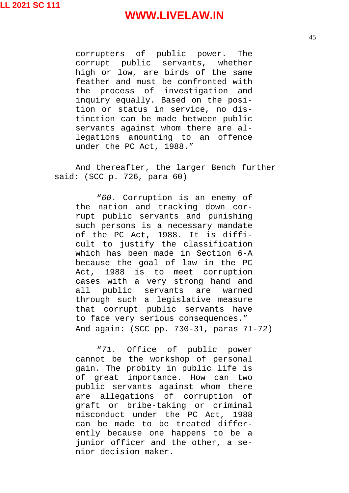corrupters of public power. The corrupt public servants, whether high or low, are birds of the same feather and must be confronted with the process of investigation and inquiry equally. Based on the position or status in service, no distinction can be made between public servants against whom there are allegations amounting to an offence under the PC Act, 1988."

And thereafter, the larger Bench further said: (SCC p. 726, para 60)

"*60*. Corruption is an enemy of the nation and tracking down corrupt public servants and punishing such persons is a necessary mandate of the PC Act, 1988. It is difficult to justify the classification which has been made in Section 6-A because the goal of law in the PC Act, 1988 is to meet corruption cases with a very strong hand and all public servants are warned through such a legislative measure that corrupt public servants have to face very serious consequences." And again: (SCC pp. 730-31, paras 71-72)

"*71*. Office of public power cannot be the workshop of personal gain. The probity in public life is of great importance. How can two public servants against whom there are allegations of corruption of graft or bribe-taking or criminal misconduct under the PC Act, 1988 can be made to be treated differently because one happens to be a junior officer and the other, a senior decision maker.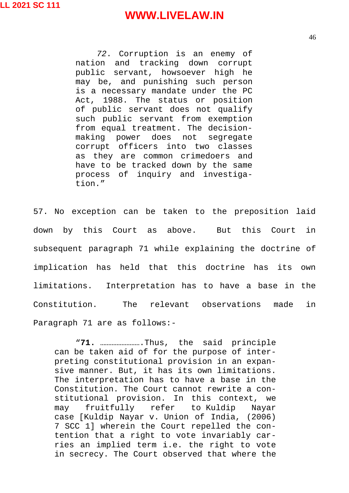*72*. Corruption is an enemy of nation and tracking down corrupt public servant, howsoever high he may be, and punishing such person is a necessary mandate under the PC Act, 1988. The status or position of public servant does not qualify such public servant from exemption from equal treatment. The decisionmaking power does not segregate corrupt officers into two classes as they are common crimedoers and have to be tracked down by the same process of inquiry and investigation."

57. No exception can be taken to the preposition laid down by this Court as above. But this Court in subsequent paragraph 71 while explaining the doctrine of implication has held that this doctrine has its own limitations. Interpretation has to have a base in the Constitution. The relevant observations made in Paragraph 71 are as follows:-

"**71.** …………………….Thus, the said principle can be taken aid of for the purpose of interpreting constitutional provision in an expansive manner. But, it has its own limitations. The interpretation has to have a base in the Constitution. The Court cannot rewrite a constitutional provision. In this context, we may fruitfully refer to Kuldip Nayar case [Kuldip Nayar v. Union of India, (2006) 7 SCC 1] wherein the Court repelled the contention that a right to vote invariably carries an implied term i.e. the right to vote in secrecy. The Court observed that where the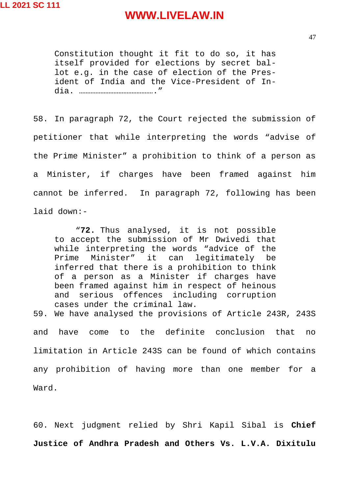Constitution thought it fit to do so, it has itself provided for elections by secret ballot e.g. in the case of election of the President of India and the Vice-President of India. ………………………………………."

58. In paragraph 72, the Court rejected the submission of petitioner that while interpreting the words "advise of the Prime Minister" a prohibition to think of a person as a Minister, if charges have been framed against him cannot be inferred.In paragraph 72, following has been laid down:-

"**72.** Thus analysed, it is not possible to accept the submission of Mr Dwivedi that while interpreting the words "advice of the Prime Minister" it can legitimately be inferred that there is a prohibition to think of a person as a Minister if charges have been framed against him in respect of heinous and serious offences including corruption cases under the criminal law.

59. We have analysed the provisions of Article 243R, 243S and have come to the definite conclusion that no limitation in Article 243S can be found of which contains any prohibition of having more than one member for a Ward.

60. Next judgment relied by Shri Kapil Sibal is **Chief Justice of Andhra Pradesh and Others Vs. L.V.A. Dixitulu**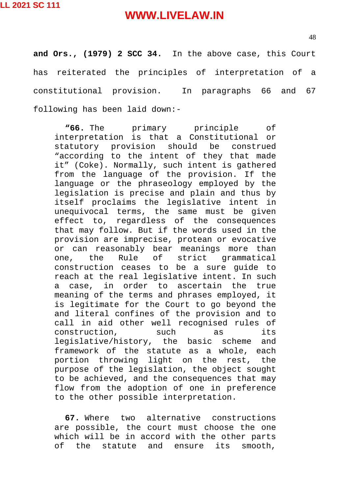48

**and Ors., (1979) 2 SCC 34.** In the above case, this Court has reiterated the principles of interpretation of a constitutional provision. In paragraphs 66 and 67 following has been laid down:-

**"66.** The primary principle of interpretation is that a Constitutional or statutory provision should be construed "according to the intent of they that made it" (Coke). Normally, such intent is gathered from the language of the provision. If the language or the phraseology employed by the legislation is precise and plain and thus by itself proclaims the legislative intent in unequivocal terms, the same must be given effect to, regardless of the consequences that may follow. But if the words used in the provision are imprecise, protean or evocative or can reasonably bear meanings more than one, the Rule of strict grammatical construction ceases to be a sure guide to reach at the real legislative intent. In such a case, in order to ascertain the true meaning of the terms and phrases employed, it is legitimate for the Court to go beyond the and literal confines of the provision and to call in aid other well recognised rules of construction, such as its legislative/history, the basic scheme and framework of the statute as a whole, each portion throwing light on the rest, the purpose of the legislation, the object sought to be achieved, and the consequences that may flow from the adoption of one in preference to the other possible interpretation.

**67.** Where two alternative constructions are possible, the court must choose the one which will be in accord with the other parts of the statute and ensure its smooth,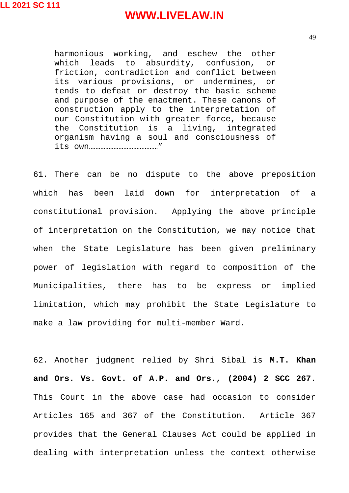harmonious working, and eschew the other which leads to absurdity, confusion, or friction, contradiction and conflict between its various provisions, or undermines, or tends to defeat or destroy the basic scheme and purpose of the enactment. These canons of construction apply to the interpretation of our Constitution with greater force, because the Constitution is a living, integrated organism having a soul and consciousness of its own……………………………………"

61. There can be no dispute to the above preposition which has been laid down for interpretation of a constitutional provision. Applying the above principle of interpretation on the Constitution, we may notice that when the State Legislature has been given preliminary power of legislation with regard to composition of the Municipalities, there has to be express or implied limitation, which may prohibit the State Legislature to make a law providing for multi-member Ward.

62. Another judgment relied by Shri Sibal is **M.T. Khan and Ors. Vs. Govt. of A.P. and Ors., (2004) 2 SCC 267.** This Court in the above case had occasion to consider Articles 165 and 367 of the Constitution. Article 367 provides that the General Clauses Act could be applied in dealing with interpretation unless the context otherwise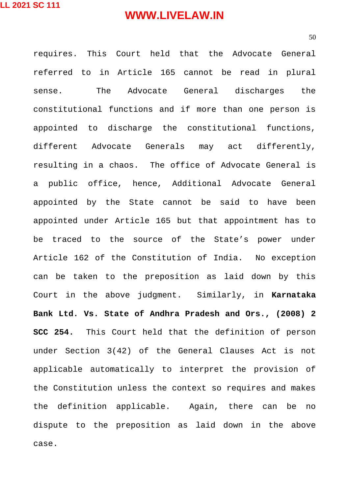requires. This Court held that the Advocate General referred to in Article 165 cannot be read in plural sense. The Advocate General discharges the constitutional functions and if more than one person is appointed to discharge the constitutional functions, different Advocate Generals may act differently, resulting in a chaos. The office of Advocate General is a public office, hence, Additional Advocate General appointed by the State cannot be said to have been appointed under Article 165 but that appointment has to be traced to the source of the State's power under Article 162 of the Constitution of India. No exception can be taken to the preposition as laid down by this Court in the above judgment. Similarly, in **Karnataka Bank Ltd. Vs. State of Andhra Pradesh and Ors., (2008) 2 SCC 254.** This Court held that the definition of person under Section 3(42) of the General Clauses Act is not applicable automatically to interpret the provision of the Constitution unless the context so requires and makes the definition applicable.Again, there can be no dispute to the preposition as laid down in the above case.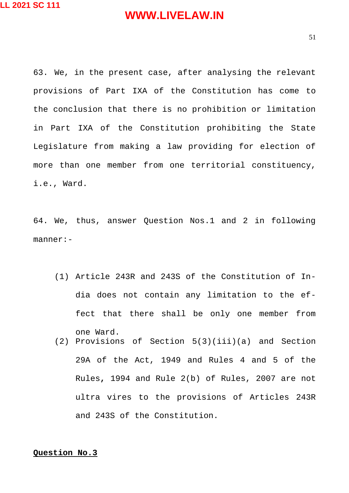63. We, in the present case, after analysing the relevant provisions of Part IXA of the Constitution has come to the conclusion that there is no prohibition or limitation in Part IXA of the Constitution prohibiting the State Legislature from making a law providing for election of more than one member from one territorial constituency, i.e., Ward.

64. We, thus, answer Question Nos.1 and 2 in following manner:-

- (1) Article 243R and 243S of the Constitution of India does not contain any limitation to the effect that there shall be only one member from one Ward.
- (2) Provisions of Section 5(3)(iii)(a) and Section 29A of the Act, 1949 and Rules 4 and 5 of the Rules**,** 1994 and Rule 2(b) of Rules, 2007 are not ultra vires to the provisions of Articles 243R and 243S of the Constitution.

**Question No.3**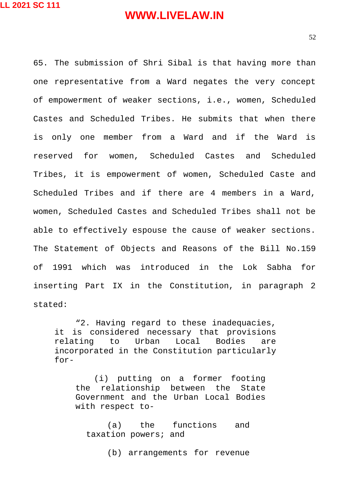52

65. The submission of Shri Sibal is that having more than one representative from a Ward negates the very concept of empowerment of weaker sections, i.e., women, Scheduled Castes and Scheduled Tribes. He submits that when there is only one member from a Ward and if the Ward is reserved for women, Scheduled Castes and Scheduled Tribes, it is empowerment of women, Scheduled Caste and Scheduled Tribes and if there are 4 members in a Ward, women, Scheduled Castes and Scheduled Tribes shall not be able to effectively espouse the cause of weaker sections. The Statement of Objects and Reasons of the Bill No.159 of 1991 which was introduced in the Lok Sabha for inserting Part IX in the Constitution, in paragraph 2 stated:

"2. Having regard to these inadequacies, it is considered necessary that provisions relating to Urban Local Bodies are incorporated in the Constitution particularly for-

(i) putting on a former footing the relationship between the State Government and the Urban Local Bodies with respect to-

(a) the functions and taxation powers; and

(b) arrangements for revenue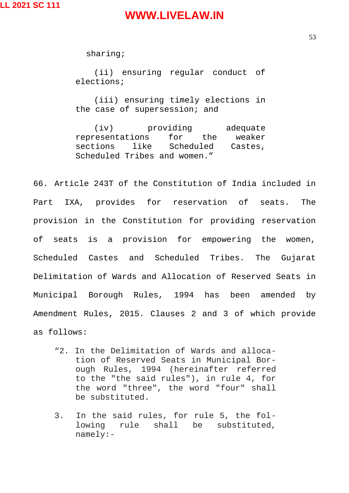sharing;

(ii) ensuring regular conduct of elections;

(iii) ensuring timely elections in the case of supersession; and

(iv) providing adequate representations for the weaker sections like Scheduled Castes, Scheduled Tribes and women."

66. Article 243T of the Constitution of India included in Part IXA, provides for reservation of seats. The provision in the Constitution for providing reservation of seats is a provision for empowering the women, Scheduled Castes and Scheduled Tribes. The Gujarat Delimitation of Wards and Allocation of Reserved Seats in Municipal Borough Rules, 1994 has been amended by Amendment Rules, 2015. Clauses 2 and 3 of which provide

as follows:

- "2. In the Delimitation of Wards and allocation of Reserved Seats in Municipal Borough Rules, 1994 (hereinafter referred to the "the said rules"), in rule 4, for the word "three", the word "four" shall be substituted.
- 3. In the said rules, for rule 5, the following rule shall be substituted, namely:-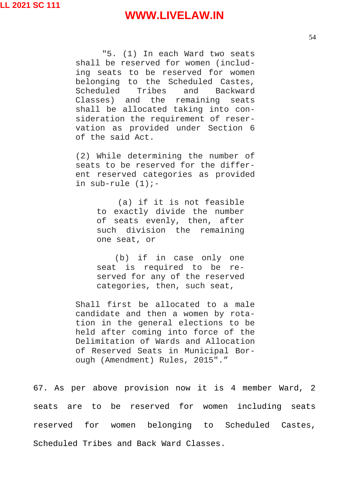"5. (1) In each Ward two seats shall be reserved for women (including seats to be reserved for women belonging to the Scheduled Castes, Scheduled Tribes and Backward Classes) and the remaining seats shall be allocated taking into consideration the requirement of reservation as provided under Section 6 of the said Act.

(2) While determining the number of seats to be reserved for the different reserved categories as provided in sub-rule  $(1)$ :-

> (a) if it is not feasible to exactly divide the number of seats evenly, then, after such division the remaining one seat, or

> (b) if in case only one seat is required to be reserved for any of the reserved categories, then, such seat,

Shall first be allocated to a male candidate and then a women by rotation in the general elections to be held after coming into force of the Delimitation of Wards and Allocation of Reserved Seats in Municipal Borough (Amendment) Rules, 2015"."

67. As per above provision now it is 4 member Ward, 2 seats are to be reserved for women including seats reserved for women belonging to Scheduled Castes, Scheduled Tribes and Back Ward Classes.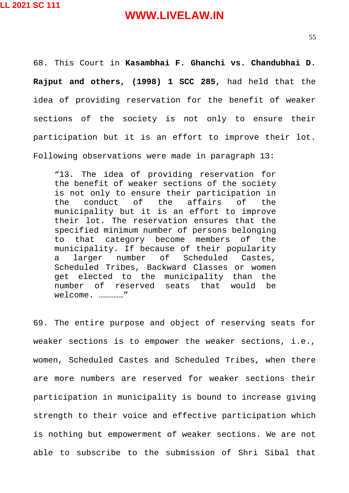68. This Court in **Kasambhai F. Ghanchi vs. Chandubhai D. Rajput and others, (1998) 1 SCC 285,** had held that the idea of providing reservation for the benefit of weaker sections of the society is not only to ensure their participation but it is an effort to improve their lot. Following observations were made in paragraph 13:

"13. The idea of providing reservation for the benefit of weaker sections of the society is not only to ensure their participation in the conduct of the affairs of the municipality but it is an effort to improve their lot. The reservation ensures that the specified minimum number of persons belonging to that category become members of the municipality. If because of their popularity a larger number of Scheduled Castes, Scheduled Tribes, Backward Classes or women get elected to the municipality than the number of reserved seats that would be welcome. ……………"

69. The entire purpose and object of reserving seats for weaker sections is to empower the weaker sections, i.e., women, Scheduled Castes and Scheduled Tribes, when there are more numbers are reserved for weaker sections their participation in municipality is bound to increase giving strength to their voice and effective participation which is nothing but empowerment of weaker sections. We are not able to subscribe to the submission of Shri Sibal that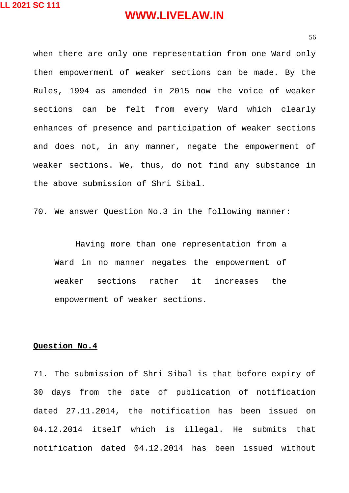when there are only one representation from one Ward only then empowerment of weaker sections can be made. By the Rules, 1994 as amended in 2015 now the voice of weaker sections can be felt from every Ward which clearly enhances of presence and participation of weaker sections and does not, in any manner, negate the empowerment of weaker sections. We, thus, do not find any substance in the above submission of Shri Sibal.

70. We answer Question No.3 in the following manner:

Having more than one representation from a Ward in no manner negates the empowerment of weaker sections rather it increases the empowerment of weaker sections.

#### **Question No.4**

71. The submission of Shri Sibal is that before expiry of 30 days from the date of publication of notification dated 27.11.2014, the notification has been issued on 04.12.2014 itself which is illegal. He submits that notification dated 04.12.2014 has been issued without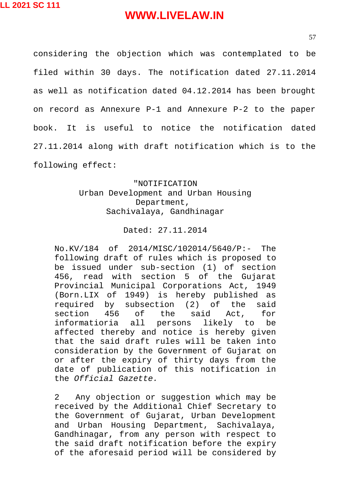57

considering the objection which was contemplated to be filed within 30 days. The notification dated 27.11.2014 as well as notification dated 04.12.2014 has been brought on record as Annexure P-1 and Annexure P-2 to the paper book. It is useful to notice the notification dated 27.11.2014 along with draft notification which is to the following effect:

#### "NOTIFICATION Urban Development and Urban Housing Department, Sachivalaya, Gandhinagar

#### Dated: 27.11.2014

No.KV/184 of 2014/MISC/102014/5640/P:- The following draft of rules which is proposed to be issued under sub-section (1) of section 456, read with section 5 of the Gujarat Provincial Municipal Corporations Act, 1949 (Born.LIX of 1949) is hereby published as required by subsection (2) of the said section 456 of the said Act, for informatioria all persons likely to be affected thereby and notice is hereby given that the said draft rules will be taken into consideration by the Government of Gujarat on or after the expiry of thirty days from the date of publication of this notification in the *Official Gazette.*

2 Any objection or suggestion which may be received by the Additional Chief Secretary to the Government of Gujarat, Urban Development and Urban Housing Department, Sachivalaya, Gandhinagar, from any person with respect to the said draft notification before the expiry of the aforesaid period will be considered by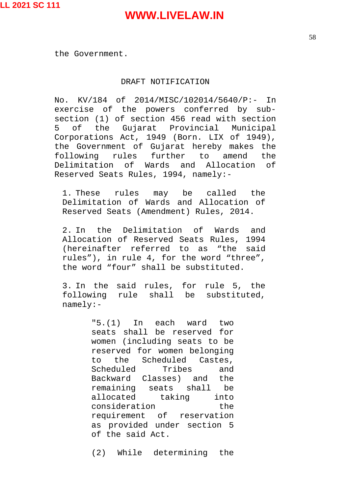the Government.

#### DRAFT NOTIFICATION

No. KV/184 of 2014/MISC/102014/5640/P:- In exercise of the powers conferred by subsection (1) of section 456 read with section 5 of the Gujarat Provincial Municipal Corporations Act, 1949 (Born. LIX of 1949), the Government of Gujarat hereby makes the following rules further to amend the Delimitation of Wards and Allocation of Reserved Seats Rules, 1994, namely:-

1. These rules may be called the Delimitation of Wards and Allocation of Reserved Seats (Amendment) Rules, 2014.

2. In the Delimitation of Wards and Allocation of Reserved Seats Rules, 1994 (hereinafter referred to as "the said rules"), in rule 4, for the word "three", the word "four" shall be substituted.

3. In the said rules, for rule 5, the following rule shall be substituted, namely:-

> "5.(1) In each ward two seats shall be reserved for women (including seats to be reserved for women belonging to the Scheduled Castes, Scheduled Tribes and Backward Classes) and the remaining seats shall be allocated taking into consideration the requirement of reservation as provided under section 5 of the said Act.

(2) While determining the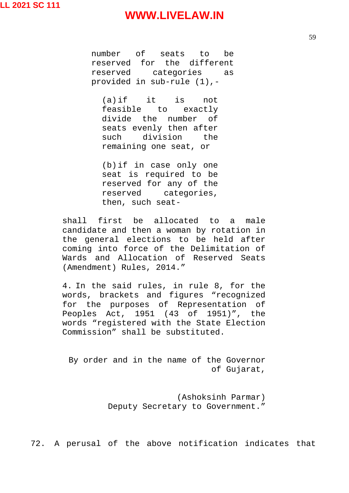number of seats to be reserved for the different reserved categories as provided in sub-rule (1),-

(a)if it is not feasible to exactly divide the number of seats evenly then after such division the remaining one seat, or

(b)if in case only one seat is required to be reserved for any of the reserved categories, then, such seat-

shall first be allocated to a male candidate and then a woman by rotation in the general elections to be held after coming into force of the Delimitation of Wards and Allocation of Reserved Seats (Amendment) Rules, 2014."

4. In the said rules, in rule 8, for the words, brackets and figures "recognized for the purposes of Representation of Peoples Act, 1951 (43 of 1951)", the words "registered with the State Election Commission" shall be substituted.

By order and in the name of the Governor of Gujarat,

> (Ashoksinh Parmar) Deputy Secretary to Government."

72. A perusal of the above notification indicates that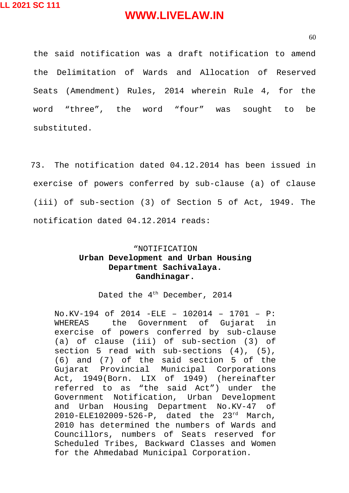60

the said notification was a draft notification to amend the Delimitation of Wards and Allocation of Reserved Seats (Amendment) Rules, 2014 wherein Rule 4, for the word "three", the word "four" was sought to be substituted.

73. The notification dated 04.12.2014 has been issued in exercise of powers conferred by sub-clause (a) of clause (iii) of sub-section (3) of Section 5 of Act, 1949. The notification dated 04.12.2014 reads:

#### "NOTIFICATION **Urban Development and Urban Housing Department Sachivalaya. Gandhinagar.**

Dated the 4<sup>th</sup> December, 2014

No.KV-194 of 2014 -ELE – 102014 – 1701 – P: WHEREAS the Government of Gujarat in exercise of powers conferred by sub-clause (a) of clause (iii) of sub-section (3) of section 5 read with sub-sections (4), (5), (6) and (7) of the said section 5 of the Gujarat Provincial Municipal Corporations Act, 1949(Born. LIX of 1949) (hereinafter referred to as "the said Act") under the Government Notification, Urban Development and Urban Housing Department No.KV-47 of 2010-ELE102009-526-P, dated the 23rd March, 2010 has determined the numbers of Wards and Councillors, numbers of Seats reserved for Scheduled Tribes, Backward Classes and Women for the Ahmedabad Municipal Corporation.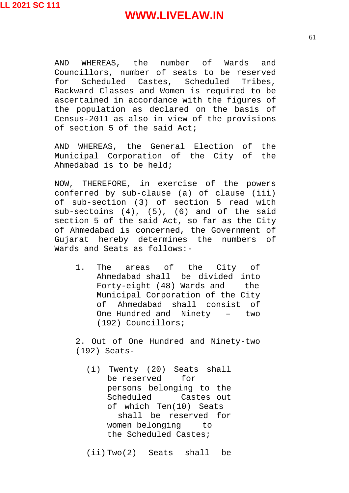AND WHEREAS, the number of Wards and Councillors, number of seats to be reserved for Scheduled Castes, Scheduled Tribes, Backward Classes and Women is required to be ascertained in accordance with the figures of the population as declared on the basis of Census-2011 as also in view of the provisions of section 5 of the said Act;

AND WHEREAS, the General Election of the Municipal Corporation of the City of the Ahmedabad is to be held;

NOW, THEREFORE, in exercise of the powers conferred by sub-clause (a) of clause (iii) of sub-section (3) of section 5 read with sub-sectoins  $(4)$ ,  $(5)$ ,  $(6)$  and of the said section 5 of the said Act, so far as the City of Ahmedabad is concerned, the Government of Gujarat hereby determines the numbers of Wards and Seats as follows:-

1. The areas of the City of Ahmedabad shall be divided into Forty-eight (48) Wards and the Municipal Corporation of the City of Ahmedabad shall consist of One Hundred and Ninety – two (192) Councillors;

2. Out of One Hundred and Ninety-two (192) Seats-

- (i) Twenty (20) Seats shall be reserved for persons belonging to the Scheduled Castes out of which Ten(10) Seats shall be reserved for women belonging to the Scheduled Castes;
- (ii) Two(2) Seats shall be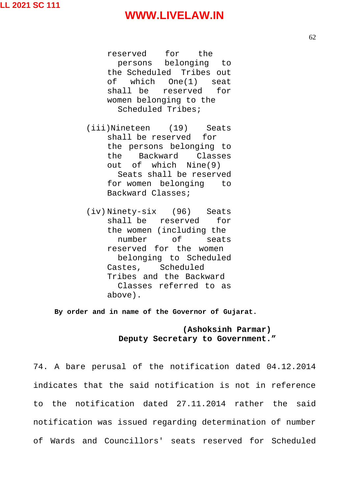reserved for the persons belonging to the Scheduled Tribes out of which One(1) seat shall be reserved for women belonging to the Scheduled Tribes;

(iii)Nineteen (19) Seats shall be reserved for the persons belonging to the Backward Classes out of which Nine(9) Seats shall be reserved for women belonging to Backward Classes;

(iv) Ninety-six (96) Seats shall be reserved for the women (including the number of seats reserved for the women belonging to Scheduled Castes, Scheduled Tribes and the Backward Classes referred to as above).

**By order and in name of the Governor of Gujarat.**

#### **(Ashoksinh Parmar) Deputy Secretary to Government."**

74. A bare perusal of the notification dated 04.12.2014 indicates that the said notification is not in reference to the notification dated 27.11.2014 rather the said notification was issued regarding determination of number of Wards and Councillors' seats reserved for Scheduled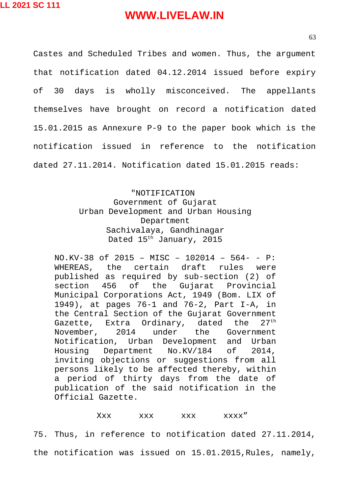63

Castes and Scheduled Tribes and women. Thus, the argument that notification dated 04.12.2014 issued before expiry of 30 days is wholly misconceived. The appellants themselves have brought on record a notification dated 15.01.2015 as Annexure P-9 to the paper book which is the notification issued in reference to the notification dated 27.11.2014. Notification dated 15.01.2015 reads:

> "NOTIFICATION Government of Gujarat Urban Development and Urban Housing Department Sachivalaya, Gandhinagar Dated 15th January, 2015

NO.KV-38 of 2015 – MISC – 102014 – 564- - P: WHEREAS, the certain draft rules were published as required by sub-section (2) of section 456 of the Gujarat Provincial Municipal Corporations Act, 1949 (Bom. LIX of 1949), at pages 76-1 and 76-2, Part I-A, in the Central Section of the Gujarat Government Gazette, Extra Ordinary, dated the 27<sup>th</sup> November, 2014 under the Government Notification, Urban Development and Urban Housing Department No.KV/184 of 2014, inviting objections or suggestions from all persons likely to be affected thereby, within a period of thirty days from the date of publication of the said notification in the Official Gazette.

#### Xxx xxx xxx xxxx"

75. Thus, in reference to notification dated 27.11.2014, the notification was issued on 15.01.2015,Rules, namely,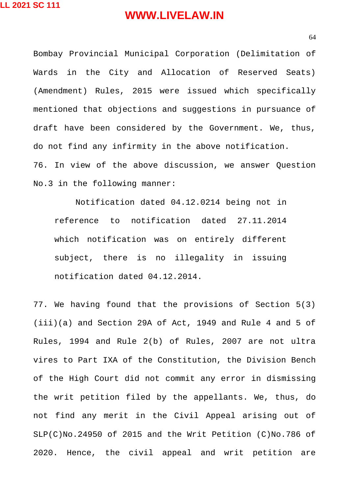Bombay Provincial Municipal Corporation (Delimitation of Wards in the City and Allocation of Reserved Seats) (Amendment) Rules, 2015 were issued which specifically mentioned that objections and suggestions in pursuance of draft have been considered by the Government. We, thus, do not find any infirmity in the above notification. 76. In view of the above discussion, we answer Question No.3 in the following manner:

Notification dated 04.12.0214 being not in reference to notification dated 27.11.2014 which notification was on entirely different subject, there is no illegality in issuing notification dated 04.12.2014.

77. We having found that the provisions of Section 5(3) (iii)(a) and Section 29A of Act, 1949 and Rule 4 and 5 of Rules, 1994 and Rule 2(b) of Rules, 2007 are not ultra vires to Part IXA of the Constitution, the Division Bench of the High Court did not commit any error in dismissing the writ petition filed by the appellants. We, thus, do not find any merit in the Civil Appeal arising out of SLP(C)No.24950 of 2015 and the Writ Petition (C)No.786 of 2020. Hence, the civil appeal and writ petition are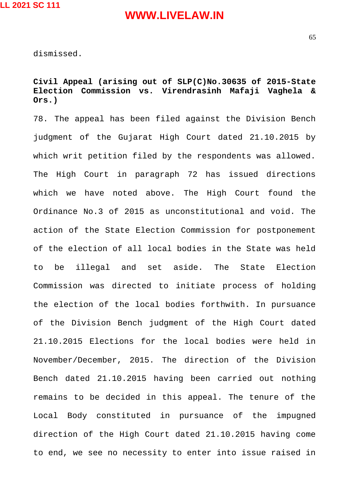dismissed.

#### **Civil Appeal (arising out of SLP(C)No.30635 of 2015-State Election Commission vs. Virendrasinh Mafaji Vaghela & Ors.)**

78. The appeal has been filed against the Division Bench judgment of the Gujarat High Court dated 21.10.2015 by which writ petition filed by the respondents was allowed. The High Court in paragraph 72 has issued directions which we have noted above. The High Court found the Ordinance No.3 of 2015 as unconstitutional and void. The action of the State Election Commission for postponement of the election of all local bodies in the State was held to be illegal and set aside. The State Election Commission was directed to initiate process of holding the election of the local bodies forthwith. In pursuance of the Division Bench judgment of the High Court dated 21.10.2015 Elections for the local bodies were held in November/December, 2015. The direction of the Division Bench dated 21.10.2015 having been carried out nothing remains to be decided in this appeal. The tenure of the Local Body constituted in pursuance of the impugned direction of the High Court dated 21.10.2015 having come to end, we see no necessity to enter into issue raised in